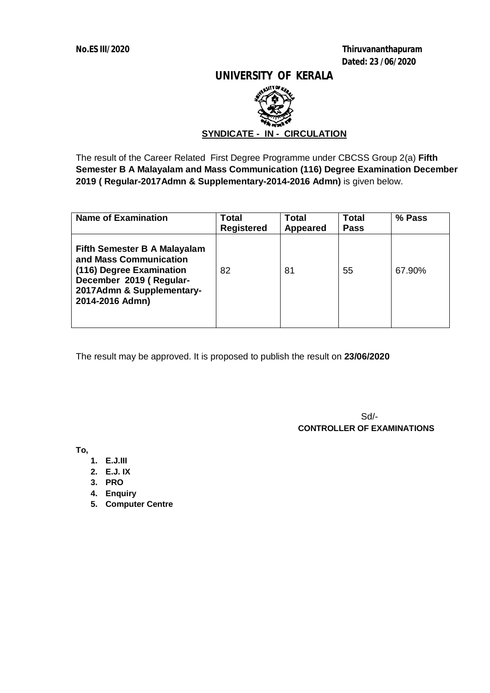**No.ES III/2020 Thiruvananthapuram Dated: 23 /06/2020**

### **UNIVERSITY OF KERALA**



The result of the Career Related First Degree Programme under CBCSS Group 2(a) **Fifth Semester B A Malayalam and Mass Communication (116) Degree Examination December 2019 ( Regular-2017Admn & Supplementary-2014-2016 Admn)** is given below.

| <b>Name of Examination</b>                                                                                                                                           | <b>Total</b><br><b>Registered</b> | Total<br><b>Appeared</b> | Total<br><b>Pass</b> | % Pass |
|----------------------------------------------------------------------------------------------------------------------------------------------------------------------|-----------------------------------|--------------------------|----------------------|--------|
| <b>Fifth Semester B A Malayalam</b><br>and Mass Communication<br>(116) Degree Examination<br>December 2019 (Regular-<br>2017Admn & Supplementary-<br>2014-2016 Admn) | 82                                | 81                       | 55                   | 67.90% |

The result may be approved. It is proposed to publish the result on **23/06/2020**

Sd/-  **CONTROLLER OF EXAMINATIONS**

**To,**

- **1. E.J.III**
- **2. E.J. IX**
- **3. PRO**
- **4. Enquiry**
- **5. Computer Centre**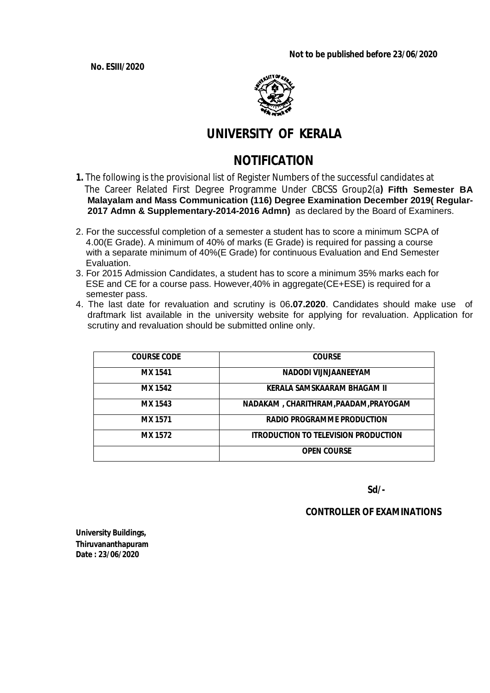**Not to be published before 23/06/2020**

**No. ESIII/2020**



# **UNIVERSITY OF KERALA**

# **NOTIFICATION**

- **1.** The following is the provisional list of Register Numbers of the successful candidates at The Career Related First Degree Programme Under CBCSS Group2(a**) Fifth Semester BA Malayalam and Mass Communication (116) Degree Examination December 2019( Regular-2017 Admn & Supplementary-2014-2016 Admn)** as declared by the Board of Examiners.
- 2. For the successful completion of a semester a student has to score a minimum SCPA of 4.00(E Grade). A minimum of 40% of marks (E Grade) is required for passing a course with a separate minimum of 40%(E Grade) for continuous Evaluation and End Semester Evaluation.
- 3. For 2015 Admission Candidates, a student has to score a minimum 35% marks each for ESE and CE for a course pass. However,40% in aggregate(CE+ESE) is required for a semester pass.
- 4. The last date for revaluation and scrutiny is 06**.07.2020**. Candidates should make use of draftmark list available in the university website for applying for revaluation. Application for scrutiny and revaluation should be submitted online only.

| <b>COURSE CODE</b> | <b>COURSE</b>                               |
|--------------------|---------------------------------------------|
| <b>MX 1541</b>     | NADODI VIJNJAANEEYAM                        |
| <b>MX 1542</b>     | KERALA SAMSKAARAM BHAGAM II                 |
| <b>MX 1543</b>     | NADAKAM, CHARITHRAM, PAADAM, PRAYOGAM       |
| <b>MX 1571</b>     | <b>RADIO PROGRAMME PRODUCTION</b>           |
| <b>MX 1572</b>     | <b>ITRODUCTION TO TELEVISION PRODUCTION</b> |
|                    | <b>OPEN COURSE</b>                          |

 **Sd/-**

 **CONTROLLER OF EXAMINATIONS**

**University Buildings, Thiruvananthapuram Date : 23/06/2020**